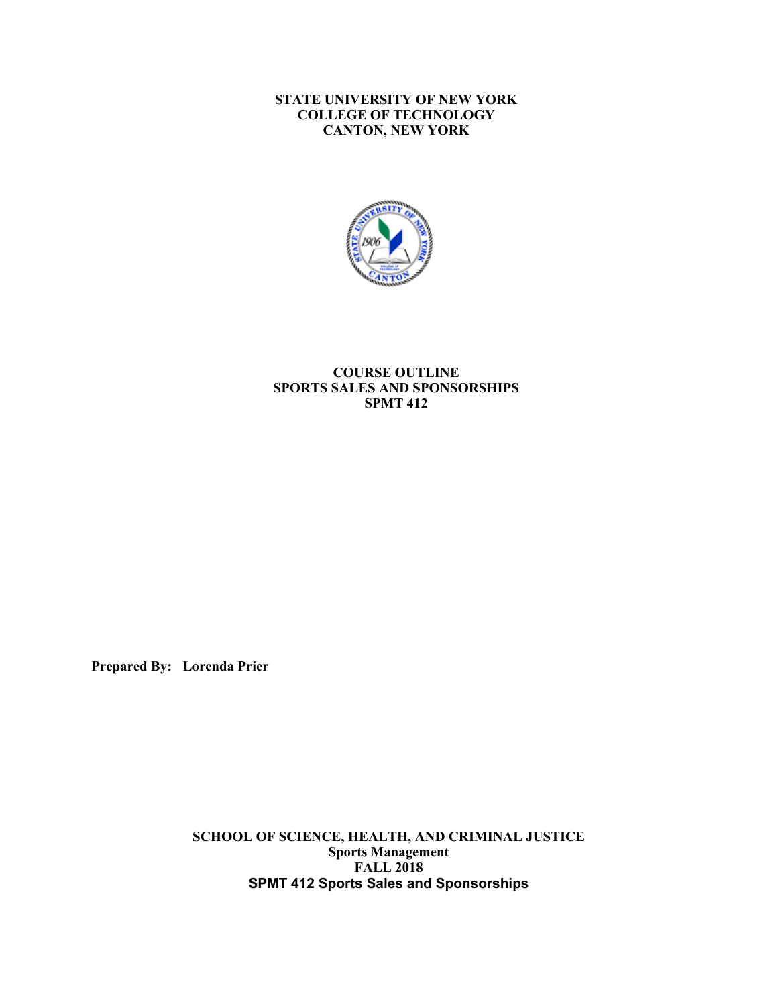#### **STATE UNIVERSITY OF NEW YORK CANTON, NEW YORK COLLEGE OF TECHNOLOGY**



### **COURSE OUTLINE SPORTS SALES AND SPONSORSHIPS SPMT 412**

**Prepared By: Lorenda Prier** 

 **SCHOOL OF SCIENCE, HEALTH, AND CRIMINAL JUSTICE SPMT 412 Sports Sales and Sponsorships Sports Management FALL 2018**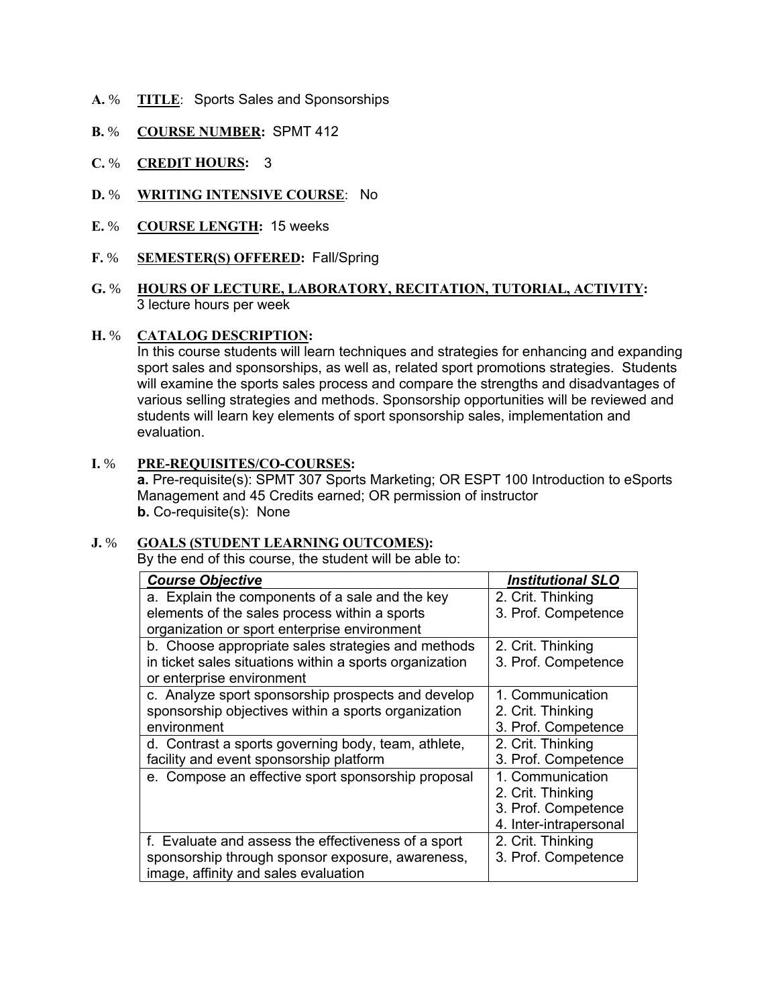- **A.** % **TITLE**: Sports Sales and Sponsorships
- **B.** % **COURSE NUMBER:** SPMT 412
- **C.** % **CREDIT HOURS:** 3
- **D.** % **WRITING INTENSIVE COURSE**: No
- **E.** % **COURSE LENGTH:** 15 weeks
- **F.** % **SEMESTER(S) OFFERED:** Fall/Spring

## **G.** % **HOURS OF LECTURE, LABORATORY, RECITATION, TUTORIAL, ACTIVITY:** 3 lecture hours per week

#### **H.** % **CATALOG DESCRIPTION:**

 sport sales and sponsorships, as well as, related sport promotions strategies. Students will examine the sports sales process and compare the strengths and disadvantages of students will learn key elements of sport sponsorship sales, implementation and evaluation. In this course students will learn techniques and strategies for enhancing and expanding various selling strategies and methods. Sponsorship opportunities will be reviewed and

# **I.** % **PRE-REQUISITES/CO-COURSES:**

 **a.** Pre-requisite(s): SPMT 307 Sports Marketing; OR ESPT 100 Introduction to eSports Management and 45 Credits earned; OR permission of instructor **b.** Co-requisite(s): None

### **J.** % **GOALS (STUDENT LEARNING OUTCOMES):**

By the end of this course, the student will be able to:

| <b>Course Objective</b>                                 | <b>Institutional SLO</b> |
|---------------------------------------------------------|--------------------------|
| a. Explain the components of a sale and the key         | 2. Crit. Thinking        |
| elements of the sales process within a sports           | 3. Prof. Competence      |
| organization or sport enterprise environment            |                          |
| b. Choose appropriate sales strategies and methods      | 2. Crit. Thinking        |
| in ticket sales situations within a sports organization | 3. Prof. Competence      |
| or enterprise environment                               |                          |
| c. Analyze sport sponsorship prospects and develop      | 1. Communication         |
| sponsorship objectives within a sports organization     | 2. Crit. Thinking        |
| environment                                             | 3. Prof. Competence      |
| d. Contrast a sports governing body, team, athlete,     | 2. Crit. Thinking        |
| facility and event sponsorship platform                 | 3. Prof. Competence      |
| e. Compose an effective sport sponsorship proposal      | 1. Communication         |
|                                                         | 2. Crit. Thinking        |
|                                                         | 3. Prof. Competence      |
|                                                         | 4. Inter-intrapersonal   |
| f. Evaluate and assess the effectiveness of a sport     | 2. Crit. Thinking        |
| sponsorship through sponsor exposure, awareness,        | 3. Prof. Competence      |
| image, affinity and sales evaluation                    |                          |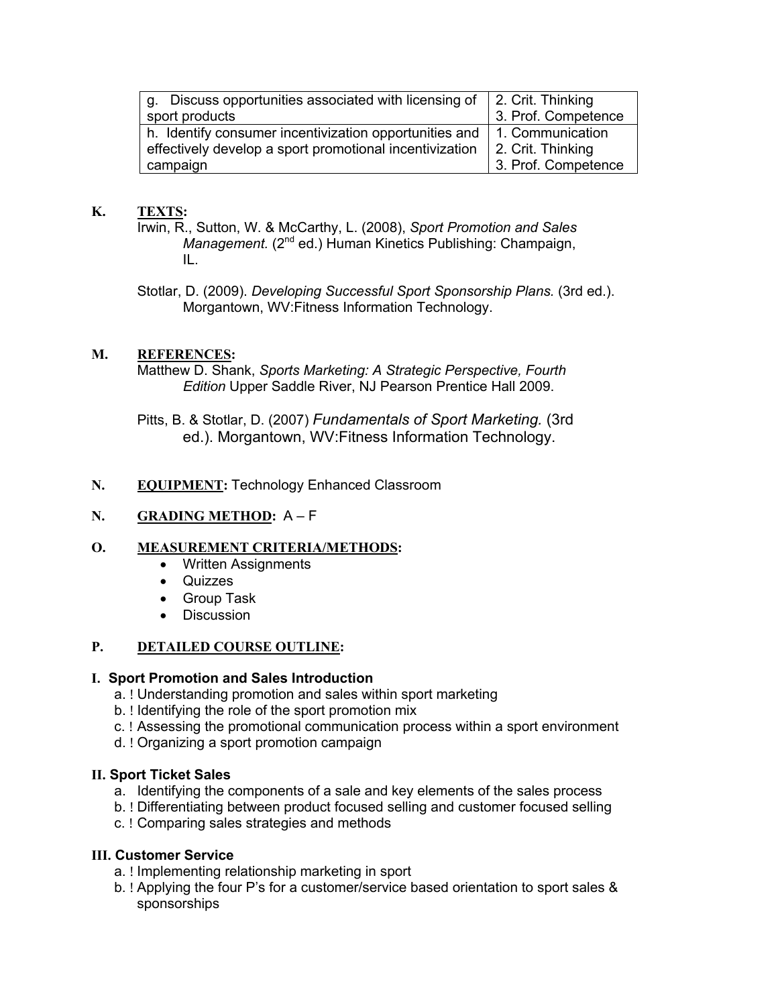| g. Discuss opportunities associated with licensing of<br>sport products | 2. Crit. Thinking<br>3. Prof. Competence |
|-------------------------------------------------------------------------|------------------------------------------|
| h. Identify consumer incentivization opportunities and                  | 1. Communication                         |
| effectively develop a sport promotional incentivization                 | 2. Crit. Thinking                        |
| campaign                                                                | 3. Prof. Competence                      |

# **K. TEXTS:**

 Irwin, R., Sutton, W. & McCarthy, L. (2008), *Sport Promotion and Sales Management.* (2<sup>nd</sup> ed.) Human Kinetics Publishing: Champaign, IL.

 Stotlar, D. (2009). *Developing Successful Sport Sponsorship Plans.* (3rd ed.). Morgantown, WV:Fitness Information Technology.

# **M. REFERENCES:**

 Matthew D. Shank, *Sports Marketing: A Strategic Perspective, Fourth Edition* Upper Saddle River, NJ Pearson Prentice Hall 2009.

 Pitts, B. & Stotlar, D. (2007) *Fundamentals of Sport Marketing.* (3rd ed.). Morgantown, WV:Fitness Information Technology.

# **N. EQUIPMENT:** Technology Enhanced Classroom

# **N. GRADING METHOD:** A – F

### **O. MEASUREMENT CRITERIA/METHODS:**

- Written Assignments
- $\bullet$ • Quizzes
- Group Task
- Discussion

#### **P**. **PETAILED COURSE OUTLINE:**

### **I. Sport Promotion and Sales Introduction**

- a. ! Understanding promotion and sales within sport marketing
- b. ! Identifying the role of the sport promotion mix
- c. ! Assessing the promotional communication process within a sport environment
- d. ! Organizing a sport promotion campaign

### **II. Sport Ticket Sales**

- a. Identifying the components of a sale and key elements of the sales process
- b. ! Differentiating between product focused selling and customer focused selling
- c. ! Comparing sales strategies and methods

### **III. Customer Service**

- a. ! Implementing relationship marketing in sport
- b. ! Applying the four P's for a customer/service based orientation to sport sales & sponsorships